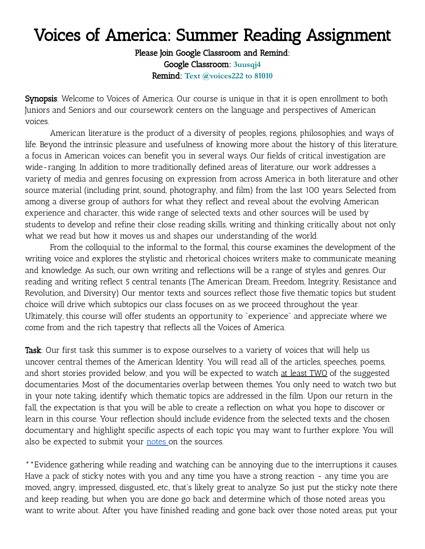# Voices of America: Summer Reading Assignment

Please Join Google Classroom and Remind: Google Classroom: **3uusqj4** Remind: **Text @voices222 to 81010**

Synopsis: Welcome to Voices of America. Our course is unique in that it is open enrollment to both Juniors and Seniors and our coursework centers on the language and perspectives of American voices.

American literature is the product of a diversity of peoples, regions, philosophies, and ways of life. Beyond the intrinsic pleasure and usefulness of knowing more about the history of this literature, a focus in American voices can benefit you in several ways. Our fields of critical investigation are wide-ranging. In addition to more traditionally defined areas of literature, our work addresses a variety of media and genres focusing on expression from across America in both literature and other source material (including print, sound, photography, and film) from the last 100 years. Selected from among a diverse group of authors for what they reflect and reveal about the evolving American experience and character, this wide range of selected texts and other sources will be used by students to develop and refine their close reading skills, writing and thinking critically about not only what we read but how it moves us and shapes our understanding of the world.

From the colloquial to the informal to the formal, this course examines the development of the writing voice and explores the stylistic and rhetorical choices writers make to communicate meaning and knowledge. As such, our own writing and reflections will be a range of styles and genres. Our reading and writing reflect 5 central tenants (The American Dream, Freedom, Integrity, Resistance and Revolution, and Diversity) Our mentor texts and sources reflect those five thematic topics but student choice will drive which subtopics our class focuses on as we proceed throughout the year. Ultimately, this course will offer students an opportunity to "experience" and appreciate where we come from and the rich tapestry that reflects all the Voices of America.

Task: Our first task this summer is to expose ourselves to a variety of voices that will help us uncover central themes of the American Identity. You will read all of the articles, speeches, poems, and short stories provided below, and you will be expected to watch at least TWO of the suggested documentaries. Most of the documentaries overlap between themes. You only need to watch two but in your note taking, identify which thematic topics are addressed in the film. Upon our return in the fall, the expectation is that you will be able to create a reflection on what you hope to discover or learn in this course. Your reflection should include evidence from the selected texts and the chosen documentary and highlight specific aspects of each topic you may want to further explore. You will also be expected to submit your [notes](https://docs.google.com/document/d/1Ip6hpDPama4BjUcoXV4CqracV2o1rzuBo0wGRl4DYpg/edit?usp=sharing) on the sources.

\*\*Evidence gathering while reading and watching can be annoying due to the interruptions it causes. Have a pack of sticky notes with you and any time you have a strong reaction - any time you are moved, angry, impressed, disgusted, etc., that's likely great to analyze. So just put the sticky note there and keep reading, but when you are done go back and determine which of those noted areas you want to write about. After you have finished reading and gone back over those noted areas, put your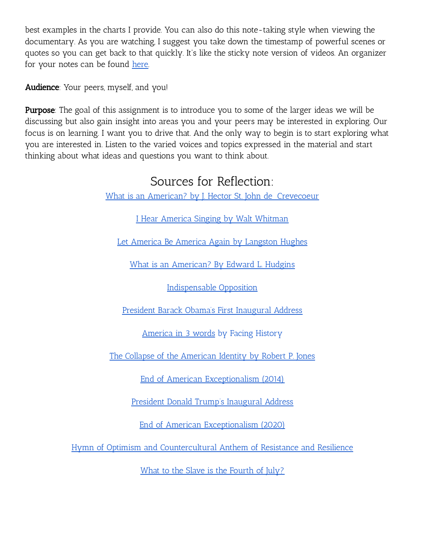best examples in the charts I provide. You can also do this note-taking style when viewing the documentary. As you are watching, I suggest you take down the timestamp of powerful scenes or quotes so you can get back to that quickly. It's like the sticky note version of videos. An organizer for your notes can be found [here.](https://docs.google.com/document/d/1Ip6hpDPama4BjUcoXV4CqracV2o1rzuBo0wGRl4DYpg/edit?usp=sharing)

Audience: Your peers, myself, and you!

**Purpose**: The goal of this assignment is to introduce you to some of the larger ideas we will be discussing but also gain insight into areas you and your peers may be interested in exploring. Our focus is on learning. I want you to drive that. And the only way to begin is to start exploring what you are interested in. Listen to the varied voices and topics expressed in the material and start thinking about what ideas and questions you want to think about.

## Sources for Reflection:

What is an American? by J. Hector St. John de [Crevecoeur](http://web.utk.edu/~mfitzge1/docs/374/Creve_brief.pdf)

I Hear America Singing by Walt [Whitman](https://www.poetryfoundation.org/poems/46480/i-hear-america-singing)

Let America Be America Again by [Langston](https://poets.org/poem/let-america-be-america-again) Hughes

What is an [American?](https://www.cato.org/publications/commentary/what-is-american#related-content) By Edward L. Hudgins

[Indispensable](http://croker.harpethhall.org/Must%20Know/Government/DemocracyLippmann.pdf) Opposition

President Barack Obama's First [Inaugural](https://docs.google.com/document/d/135iIMa3sB2CbrnWBDLv-BtcbX7smwWhUP_vHS1xs9ho/edit?usp=sharing) Address

[America](https://www.facinghistory.org/resource-library/video/american-id-three-words) in 3 words by Facing History

The Collapse of the [American](https://www.nytimes.com/2017/05/02/opinion/the-collapse-of-american-identity.html) Identity by Robert P. Jones

End of American [Exceptionalism](https://www.theatlantic.com/politics/archive/2014/02/the-end-of-american-exceptionalism/283540/) (2014)

President Donald Trump's [Inaugural](https://docs.google.com/document/d/1IJ1cbkJIvtYMoNwUNLCmknPzGGrUKa8UEWmccCGSusI/edit?usp=sharing) Address

End of American [Exceptionalism](https://prospect.org/coronavirus/the-end-of-american-exceptionalism/) (2020)

Hymn of Optimism and [Countercultural](https://www.brainpickings.org/2020/05/14/one-fine-day-david-byrne-brooklyn-youth-chorus-national-sawdust/) Anthem of Resistance and Resilience

What to the Slave is the [Fourth](https://teachingamericanhistory.org/document/what-to-the-slave-is-the-fourth-of-july/) of July?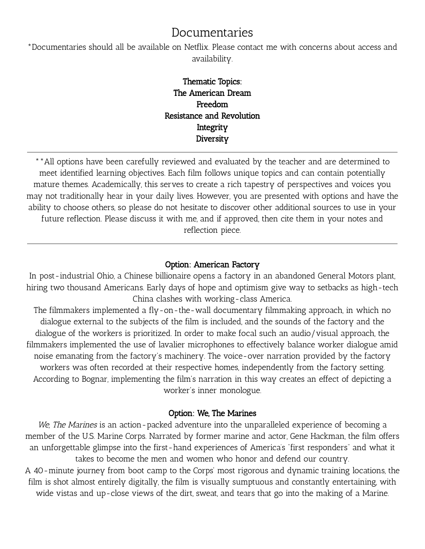## Documentaries

\*Documentaries should all be available on Netflix. Please contact me with concerns about access and availability.

### Thematic Topics: The American Dream Freedom Resistance and Revolution Integrity **Diversity**

\*\*All options have been carefully reviewed and evaluated by the teacher and are determined to meet identified learning objectives. Each film follows unique topics and can contain potentially mature themes. Academically, this serves to create a rich tapestry of perspectives and voices you may not traditionally hear in your daily lives. However, you are presented with options and have the ability to choose others, so please do not hesitate to discover other additional sources to use in your future reflection. Please discuss it with me, and if approved, then cite them in your notes and reflection piece.

#### Option: American Factory

In post-industrial Ohio, a Chinese billionaire opens a factory in an abandoned General Motors plant, hiring two thousand Americans. Early days of hope and optimism give way to setbacks as high-tech China clashes with working-class America.

The filmmakers implemented a [fly-on-the-wall](https://en.wikipedia.org/wiki/Fly_on_the_wall) documentary filmmaking approach, in which no dialogue external to the subjects of the film is included, and the sounds of the factory and the dialogue of the workers is prioritized. In order to make focal such an audio/visual approach, the filmmakers implemented the use of lavalier [microphones](https://en.wikipedia.org/wiki/Lavalier_microphone) to effectively balance worker dialogue amid noise emanating from the factory's machinery. The [voice-over](https://en.wikipedia.org/wiki/Voice-over) narration provided by the factory workers was often recorded at their respective homes, independently from the factory setting. According to Bognar, implementing the film's narration in this way creates an effect of depicting a worker's inner [monologue.](https://en.wikipedia.org/wiki/Inner_Monologue)

#### Option: We, The Marines

We, The Marines is an action-packed adventure into the unparalleled experience of becoming a member of the U.S. Marine Corps. Narrated by former marine and actor, Gene Hackman, the film offers an unforgettable glimpse into the first-hand experiences of America's "first responders" and what it takes to become the men and women who honor and defend our country.

A 40-minute journey from boot camp to the Corps' most rigorous and dynamic training locations, the film is shot almost entirely digitally, the film is visually sumptuous and constantly entertaining, with wide vistas and up-close views of the dirt, sweat, and tears that go into the making of a Marine.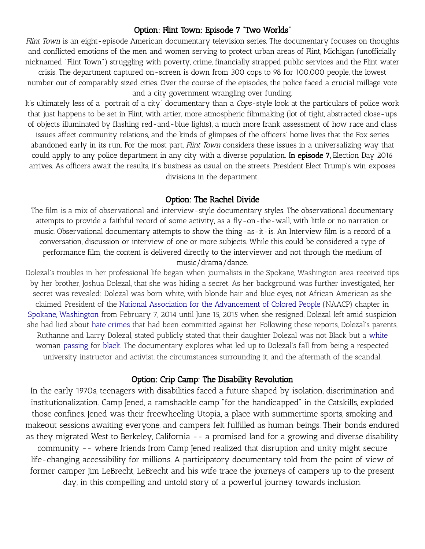#### Option: Flint Town: Episode 7 "Two Worlds"

Flint Town is an eight-episode American documentary television series. The documentary focuses on thoughts and conflicted emotions of the men and women serving to protect urban areas of Flint, [Michigan](https://en.wikipedia.org/wiki/Flint,_Michigan) (unofficially nicknamed "Flint Town") struggling with poverty, crime, financially strapped public services and the Flint [water](https://en.wikipedia.org/wiki/Flint_water_crisis) [crisis.](https://en.wikipedia.org/wiki/Flint_water_crisis) The department captured on-screen is down from 300 cops to 98 for 100,000 people, the lowest number out of comparably sized cities. Over the course of the episodes, the police faced a crucial millage vote and a city government wrangling over funding.

It's ultimately less of a "portrait of a city" documentary than a Cops-style look at the particulars of police work that just happens to be set in Flint, with artier, more atmospheric filmmaking (lot of tight, abstracted close-ups of objects illuminated by flashing red-and-blue lights), a much more frank assessment of how race and class issues affect community relations, and the kinds of glimpses of the officers' home lives that the Fox series abandoned early in its run. For the most part, Flint Town considers these issues in a universalizing way that could apply to any police department in any city with a diverse population. In episode 7, Election Day 2016 arrives. As officers await the results, it's business as usual on the streets. President Elect Trump's win exposes divisions in the department.

#### Option: The Rachel Divide

The film is a mix of observational and interview-style documentary styles. The observational documentary attempts to provide a faithful record of some activity, as a fly-on-the-wall, with little or no narration or music. Observational documentary attempts to show the thing-as-it-is. An Interview film is a record of a conversation, discussion or interview of one or more subjects. While this could be considered a type of performance film, the content is delivered directly to the interviewer and not through the medium of music/drama/dance.

Dolezal's troubles in her professional life began when journalists in the Spokane, Washington area received tips by her brother, Joshua Dolezal, that she was hiding a secret. As her background was further investigated, her secret was revealed: Dolezal was born white, with blonde hair and blue eyes, not African American as she claimed. President of the National Association for the [Advancement](https://en.wikipedia.org/wiki/National_Association_for_the_Advancement_of_Colored_People) of Colored People (NAACP) chapter in Spokane, [Washington](https://en.wikipedia.org/wiki/Spokane,_Washington) from February 7, 2014 until June 15, 2015 when she resigned, Dolezal left amid suspicion she had lied about hate [crimes](https://en.wikipedia.org/wiki/Hate_crimes) that had been committed against her. Following these reports, Dolezal's parents, Ruthanne and Larry Dolezal, stated publicly stated that their daughter Dolezal was not Black but a [white](https://en.wikipedia.org/wiki/White_people) woman [passing](https://en.wikipedia.org/wiki/Passing_(racial_identity)) for [black.](https://en.wikipedia.org/wiki/Black_people) The documentary explores what led up to Dolezal's fall from being a respected university instructor and activist, the circumstances surrounding it, and the aftermath of the scandal.

#### Option: Crip Camp: The Disability Revolution

In the early 1970s, teenagers with disabilities faced a future shaped by isolation, discrimination and institutionalization. Camp Jened, a ramshackle camp "for the handicapped" in the Catskills, exploded those confines. Jened was their freewheeling Utopia, a place with summertime sports, smoking and makeout sessions awaiting everyone, and campers felt fulfilled as human beings. Their bonds endured as they migrated West to Berkeley, California -- a promised land for a growing and diverse disability community -- where friends from Camp Jened realized that disruption and unity might secure life-changing accessibility for millions. A participatory documentary told from the point of view of former camper Jim LeBrecht, LeBrecht and his wife trace the journeys of campers up to the present day, in this compelling and untold story of a powerful journey towards inclusion.